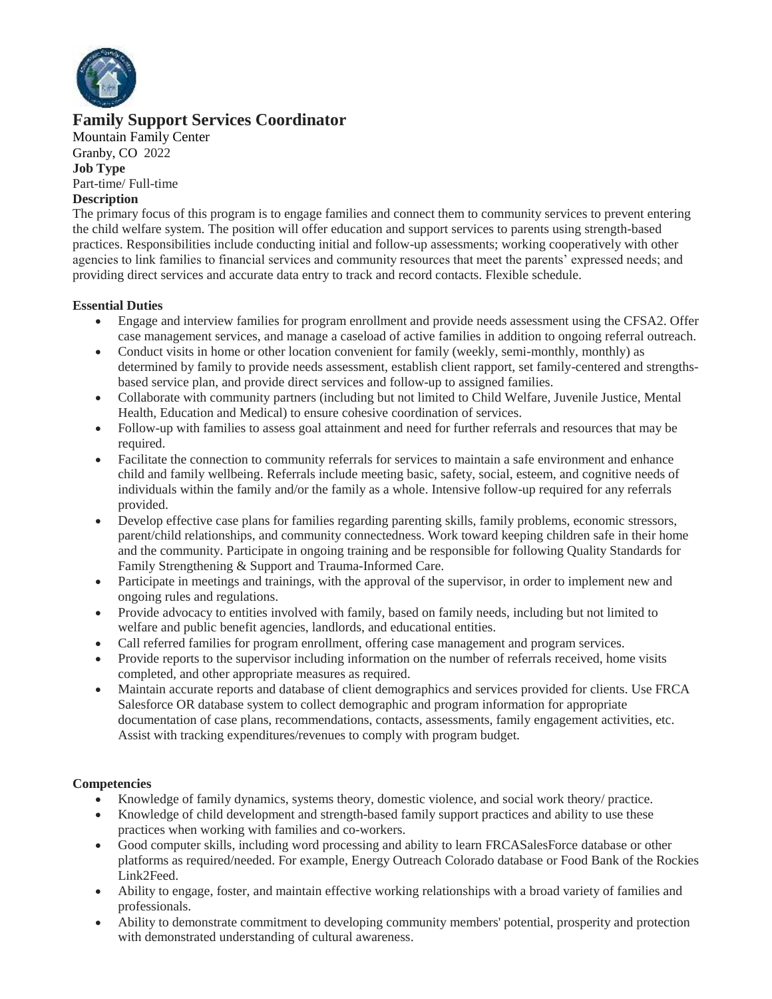

# **Family Support Services Coordinator**

Mountain Family Center [Granby, CO](about:blank) 2022 **Job Type** Part-time/ Full-time

# **Description**

The primary focus of this program is to engage families and connect them to community services to prevent entering the child welfare system. The position will offer education and support services to parents using strength-based practices. Responsibilities include conducting initial and follow-up assessments; working cooperatively with other agencies to link families to financial services and community resources that meet the parents' expressed needs; and providing direct services and accurate data entry to track and record contacts. Flexible schedule.

#### **Essential Duties**

- Engage and interview families for program enrollment and provide needs assessment using the CFSA2. Offer case management services, and manage a caseload of active families in addition to ongoing referral outreach.
- Conduct visits in home or other location convenient for family (weekly, semi-monthly, monthly) as determined by family to provide needs assessment, establish client rapport, set family-centered and strengthsbased service plan, and provide direct services and follow-up to assigned families.
- Collaborate with community partners (including but not limited to Child Welfare, Juvenile Justice, Mental Health, Education and Medical) to ensure cohesive coordination of services.
- Follow-up with families to assess goal attainment and need for further referrals and resources that may be required.
- Facilitate the connection to community referrals for services to maintain a safe environment and enhance child and family wellbeing. Referrals include meeting basic, safety, social, esteem, and cognitive needs of individuals within the family and/or the family as a whole. Intensive follow-up required for any referrals provided.
- Develop effective case plans for families regarding parenting skills, family problems, economic stressors, parent/child relationships, and community connectedness. Work toward keeping children safe in their home and the community. Participate in ongoing training and be responsible for following Quality Standards for Family Strengthening & Support and Trauma-Informed Care.
- Participate in meetings and trainings, with the approval of the supervisor, in order to implement new and ongoing rules and regulations.
- Provide advocacy to entities involved with family, based on family needs, including but not limited to welfare and public benefit agencies, landlords, and educational entities.
- Call referred families for program enrollment, offering case management and program services.
- Provide reports to the supervisor including information on the number of referrals received, home visits completed, and other appropriate measures as required.
- Maintain accurate reports and database of client demographics and services provided for clients. Use FRCA Salesforce OR database system to collect demographic and program information for appropriate documentation of case plans, recommendations, contacts, assessments, family engagement activities, etc. Assist with tracking expenditures/revenues to comply with program budget.

## **Competencies**

- Knowledge of family dynamics, systems theory, domestic violence, and social work theory/ practice.
- Knowledge of child development and strength-based family support practices and ability to use these practices when working with families and co-workers.
- Good computer skills, including word processing and ability to learn FRCASalesForce database or other platforms as required/needed. For example, Energy Outreach Colorado database or Food Bank of the Rockies Link2Feed.
- Ability to engage, foster, and maintain effective working relationships with a broad variety of families and professionals.
- Ability to demonstrate commitment to developing community members' potential, prosperity and protection with demonstrated understanding of cultural awareness.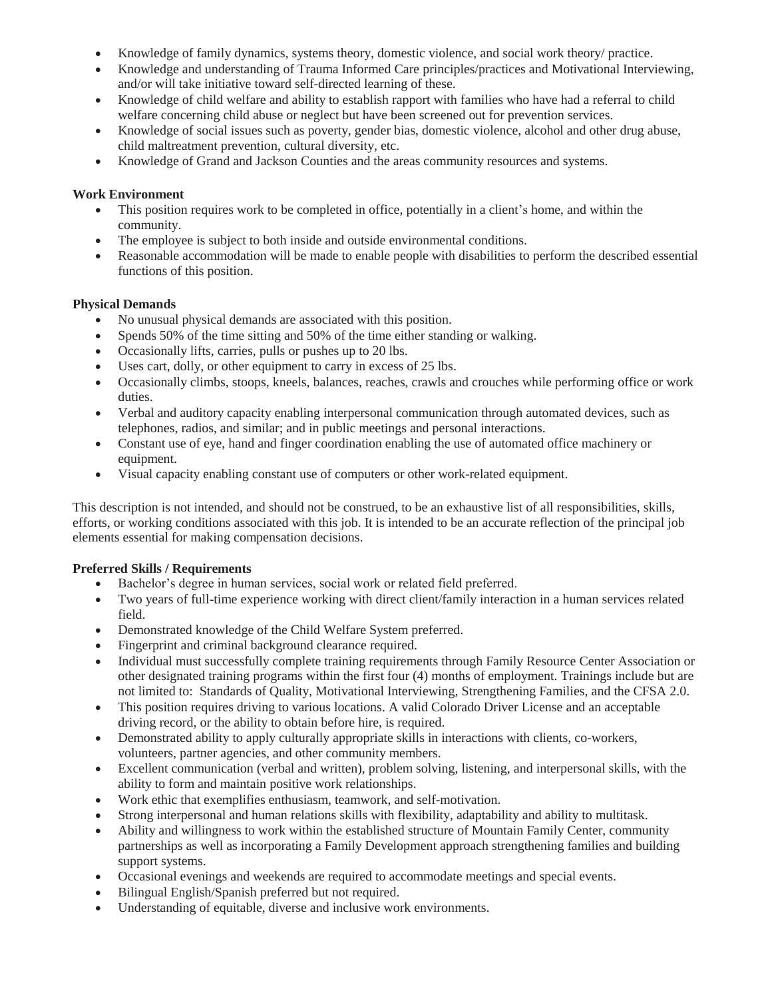- Knowledge of family dynamics, systems theory, domestic violence, and social work theory/ practice.
- Knowledge and understanding of Trauma Informed Care principles/practices and Motivational Interviewing, and/or will take initiative toward self-directed learning of these.
- Knowledge of child welfare and ability to establish rapport with families who have had a referral to child welfare concerning child abuse or neglect but have been screened out for prevention services.
- Knowledge of social issues such as poverty, gender bias, domestic violence, alcohol and other drug abuse, child maltreatment prevention, cultural diversity, etc.
- Knowledge of Grand and Jackson Counties and the areas community resources and systems.

## **Work Environment**

- This position requires work to be completed in office, potentially in a client's home, and within the community.
- The employee is subject to both inside and outside environmental conditions.
- Reasonable accommodation will be made to enable people with disabilities to perform the described essential functions of this position.

# **Physical Demands**

- No unusual physical demands are associated with this position.
- Spends 50% of the time sitting and 50% of the time either standing or walking.
- Occasionally lifts, carries, pulls or pushes up to 20 lbs.
- Uses cart, dolly, or other equipment to carry in excess of 25 lbs.
- Occasionally climbs, stoops, kneels, balances, reaches, crawls and crouches while performing office or work duties.
- Verbal and auditory capacity enabling interpersonal communication through automated devices, such as telephones, radios, and similar; and in public meetings and personal interactions.
- Constant use of eye, hand and finger coordination enabling the use of automated office machinery or equipment.
- Visual capacity enabling constant use of computers or other work-related equipment.

This description is not intended, and should not be construed, to be an exhaustive list of all responsibilities, skills, efforts, or working conditions associated with this job. It is intended to be an accurate reflection of the principal job elements essential for making compensation decisions.

# **Preferred Skills / Requirements**

- Bachelor's degree in human services, social work or related field preferred.
- Two years of full-time experience working with direct client/family interaction in a human services related field.
- Demonstrated knowledge of the Child Welfare System preferred.
- Fingerprint and criminal background clearance required.
- Individual must successfully complete training requirements through Family Resource Center Association or other designated training programs within the first four (4) months of employment. Trainings include but are not limited to: Standards of Quality, Motivational Interviewing, Strengthening Families, and the CFSA 2.0.
- This position requires driving to various locations. A valid Colorado Driver License and an acceptable driving record, or the ability to obtain before hire, is required.
- Demonstrated ability to apply culturally appropriate skills in interactions with clients, co-workers, volunteers, partner agencies, and other community members.
- Excellent communication (verbal and written), problem solving, listening, and interpersonal skills, with the ability to form and maintain positive work relationships.
- Work ethic that exemplifies enthusiasm, teamwork, and self-motivation.
- Strong interpersonal and human relations skills with flexibility, adaptability and ability to multitask.
- Ability and willingness to work within the established structure of Mountain Family Center, community partnerships as well as incorporating a Family Development approach strengthening families and building support systems.
- Occasional evenings and weekends are required to accommodate meetings and special events.
- Bilingual English/Spanish preferred but not required.
- Understanding of equitable, diverse and inclusive work environments.